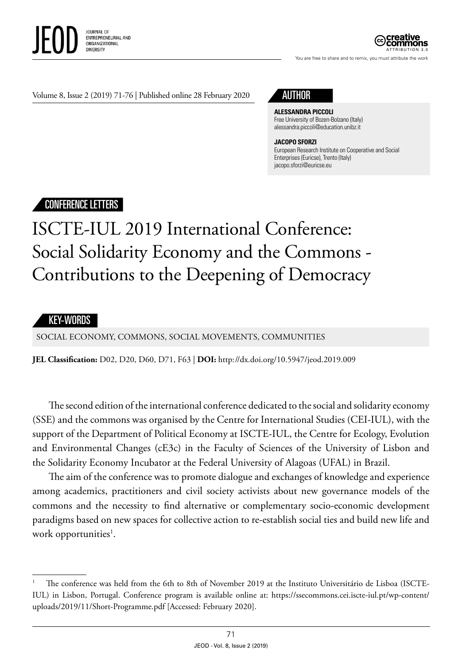

ATTRIBUTION 3.0

You are free to share and to remix, you must attribute the work

Volume 8, Issue 2 (2019) 71-76 | Published online 28 February 2020 AUTHOR



#### **ALESSANDRA PICCOLI** Free University of Bozen-Bolzano (Italy) [alessandra.piccoli@education.unibz.it](mailto:Alessandra.Piccoli@education.unibz.it)

### **JACOPO SFORZI**

European Research Institute on Cooperative and Social Enterprises (Euricse), Trento (Italy) jacopo.sforzi@euricse.eu

## CONFERENCE LETTERS

# ISCTE-IUL 2019 International Conference: Social Solidarity Economy and the Commons - Contributions to the Deepening of Democracy

### KEY-WORDS

SOCIAL ECONOMY, COMMONS, SOCIAL MOVEMENTS, COMMUNITIES

**JEL Classification:** D02, D20, D60, D71, F63 | **DOI:** http: / /dx.doi.org/10.5947/jeod.2019.009

The second edition of the international conference dedicated to the social and solidarity economy (SSE) and the commons was organised by the Centre for International Studies (CEI-IUL), with the support of the Department of Political Economy at ISCTE-IUL, the Centre for Ecology, Evolution and Environmental Changes (cE3c) in the Faculty of Sciences of the University of Lisbon and the Solidarity Economy Incubator at the Federal University of Alagoas (UFAL) in Brazil.

The aim of the conference was to promote dialogue and exchanges of knowledge and experience among academics, practitioners and civil society activists about new governance models of the commons and the necessity to find alternative or complementary socio-economic development paradigms based on new spaces for collective action to re-establish social ties and build new life and work opportunities<sup>1</sup>.

<sup>1</sup> The conference was held from the 6th to 8th of November 2019 at the Instituto Universitário de Lisboa (ISCTE-IUL) in Lisbon, Portugal. Conference program is available online at: [https://ssecommons.cei.iscte-iul.pt/wp-content/](https://ssecommons.cei.iscte-iul.pt/wp-content/uploads/2019/11/Short-Programme.pdf) [uploads/2019/11/Short-Programme.pdf](https://ssecommons.cei.iscte-iul.pt/wp-content/uploads/2019/11/Short-Programme.pdf) [Accessed: February 2020].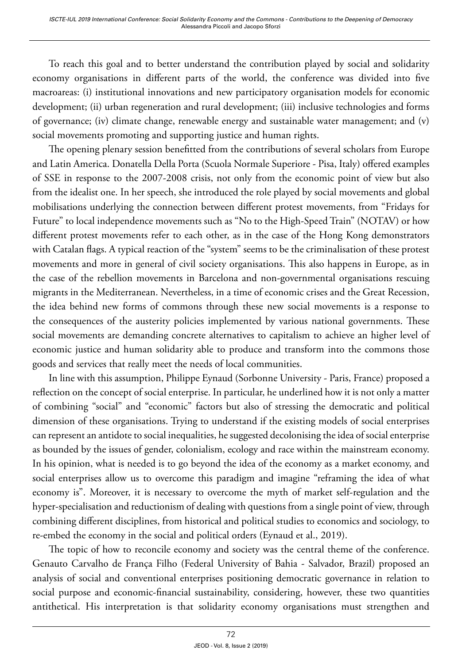To reach this goal and to better understand the contribution played by social and solidarity economy organisations in different parts of the world, the conference was divided into five macroareas: (i) institutional innovations and new participatory organisation models for economic development; (ii) urban regeneration and rural development; (iii) inclusive technologies and forms of governance; (iv) climate change, renewable energy and sustainable water management; and (v) social movements promoting and supporting justice and human rights.

The opening plenary session benefitted from the contributions of several scholars from Europe and Latin America. Donatella Della Porta (Scuola Normale Superiore - Pisa, Italy) offered examples of SSE in response to the 2007-2008 crisis, not only from the economic point of view but also from the idealist one. In her speech, she introduced the role played by social movements and global mobilisations underlying the connection between different protest movements, from "Fridays for Future" to local independence movements such as "No to the High-Speed Train" (NOTAV) or how different protest movements refer to each other, as in the case of the Hong Kong demonstrators with Catalan flags. A typical reaction of the "system" seems to be the criminalisation of these protest movements and more in general of civil society organisations. This also happens in Europe, as in the case of the rebellion movements in Barcelona and non-governmental organisations rescuing migrants in the Mediterranean. Nevertheless, in a time of economic crises and the Great Recession, the idea behind new forms of commons through these new social movements is a response to the consequences of the austerity policies implemented by various national governments. These social movements are demanding concrete alternatives to capitalism to achieve an higher level of economic justice and human solidarity able to produce and transform into the commons those goods and services that really meet the needs of local communities.

In line with this assumption, Philippe Eynaud (Sorbonne University - Paris, France) proposed a reflection on the concept of social enterprise. In particular, he underlined how it is not only a matter of combining "social" and "economic" factors but also of stressing the democratic and political dimension of these organisations. Trying to understand if the existing models of social enterprises can represent an antidote to social inequalities, he suggested decolonising the idea of social enterprise as bounded by the issues of gender, colonialism, ecology and race within the mainstream economy. In his opinion, what is needed is to go beyond the idea of the economy as a market economy, and social enterprises allow us to overcome this paradigm and imagine "reframing the idea of what economy is". Moreover, it is necessary to overcome the myth of market self-regulation and the hyper-specialisation and reductionism of dealing with questions from a single point of view, through combining different disciplines, from historical and political studies to economics and sociology, to re-embed the economy in the social and political orders (Eynaud et al., 2019).

The topic of how to reconcile economy and society was the central theme of the conference. Genauto Carvalho de França Filho (Federal University of Bahia - Salvador, Brazil) proposed an analysis of social and conventional enterprises positioning democratic governance in relation to social purpose and economic-financial sustainability, considering, however, these two quantities antithetical. His interpretation is that solidarity economy organisations must strengthen and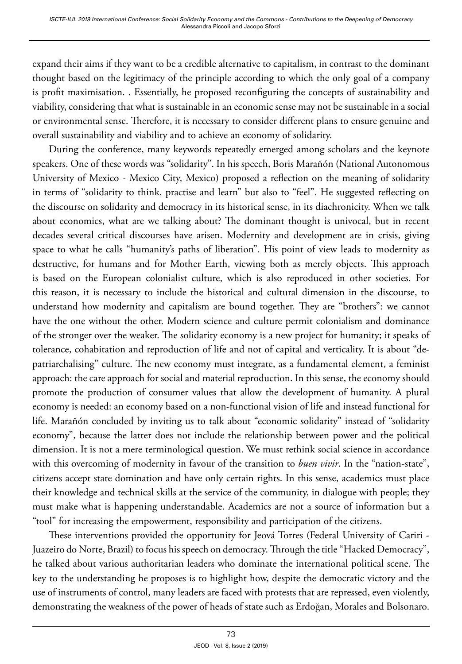expand their aims if they want to be a credible alternative to capitalism, in contrast to the dominant thought based on the legitimacy of the principle according to which the only goal of a company is profit maximisation. . Essentially, he proposed reconfiguring the concepts of sustainability and viability, considering that what is sustainable in an economic sense may not be sustainable in a social or environmental sense. Therefore, it is necessary to consider different plans to ensure genuine and overall sustainability and viability and to achieve an economy of solidarity.

During the conference, many keywords repeatedly emerged among scholars and the keynote speakers. One of these words was "solidarity". In his speech, Boris Marañón (National Autonomous University of Mexico - Mexico City, Mexico) proposed a reflection on the meaning of solidarity in terms of "solidarity to think, practise and learn" but also to "feel". He suggested reflecting on the discourse on solidarity and democracy in its historical sense, in its diachronicity. When we talk about economics, what are we talking about? The dominant thought is univocal, but in recent decades several critical discourses have arisen. Modernity and development are in crisis, giving space to what he calls "humanity's paths of liberation". His point of view leads to modernity as destructive, for humans and for Mother Earth, viewing both as merely objects. This approach is based on the European colonialist culture, which is also reproduced in other societies. For this reason, it is necessary to include the historical and cultural dimension in the discourse, to understand how modernity and capitalism are bound together. They are "brothers": we cannot have the one without the other. Modern science and culture permit colonialism and dominance of the stronger over the weaker. The solidarity economy is a new project for humanity; it speaks of tolerance, cohabitation and reproduction of life and not of capital and verticality. It is about "depatriarchalising" culture. The new economy must integrate, as a fundamental element, a feminist approach: the care approach for social and material reproduction. In this sense, the economy should promote the production of consumer values that allow the development of humanity. A plural economy is needed: an economy based on a non-functional vision of life and instead functional for life. Marañón concluded by inviting us to talk about "economic solidarity" instead of "solidarity economy", because the latter does not include the relationship between power and the political dimension. It is not a mere terminological question. We must rethink social science in accordance with this overcoming of modernity in favour of the transition to *buen vivir*. In the "nation-state", citizens accept state domination and have only certain rights. In this sense, academics must place their knowledge and technical skills at the service of the community, in dialogue with people; they must make what is happening understandable. Academics are not a source of information but a "tool" for increasing the empowerment, responsibility and participation of the citizens.

These interventions provided the opportunity for Jeová Torres (Federal University of Cariri - Juazeiro do Norte, Brazil) to focus his speech on democracy. Through the title "Hacked Democracy", he talked about various authoritarian leaders who dominate the international political scene. The key to the understanding he proposes is to highlight how, despite the democratic victory and the use of instruments of control, many leaders are faced with protests that are repressed, even violently, demonstrating the weakness of the power of heads of state such as Erdoğan, Morales and Bolsonaro.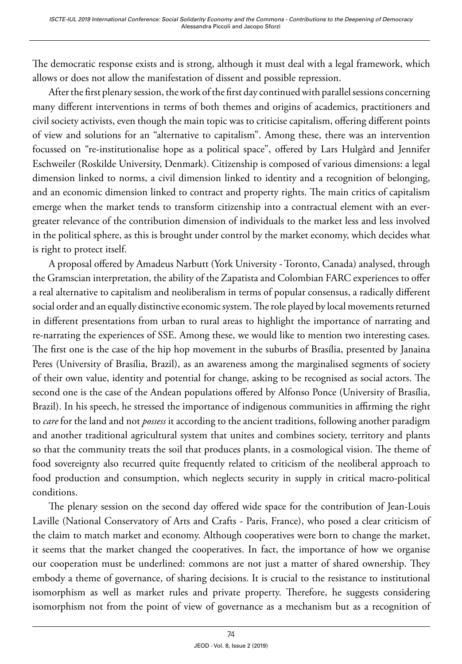The democratic response exists and is strong, although it must deal with a legal framework, which allows or does not allow the manifestation of dissent and possible repression.

After the first plenary session, the work of the first day continued with parallel sessions concerning many different interventions in terms of both themes and origins of academics, practitioners and civil society activists, even though the main topic was to criticise capitalism, offering different points of view and solutions for an "alternative to capitalism". Among these, there was an intervention focussed on "re-institutionalise hope as a political space", offered by Lars Hulgård and Jennifer Eschweiler (Roskilde University, Denmark). Citizenship is composed of various dimensions: a legal dimension linked to norms, a civil dimension linked to identity and a recognition of belonging, and an economic dimension linked to contract and property rights. The main critics of capitalism emerge when the market tends to transform citizenship into a contractual element with an evergreater relevance of the contribution dimension of individuals to the market less and less involved in the political sphere, as this is brought under control by the market economy, which decides what is right to protect itself.

A proposal offered by Amadeus Narbutt (York University - Toronto, Canada) analysed, through the Gramscian interpretation, the ability of the Zapatista and Colombian FARC experiences to offer a real alternative to capitalism and neoliberalism in terms of popular consensus, a radically different social order and an equally distinctive economic system. The role played by local movements returned in different presentations from urban to rural areas to highlight the importance of narrating and re-narrating the experiences of SSE. Among these, we would like to mention two interesting cases. The first one is the case of the hip hop movement in the suburbs of Brasília, presented by Janaina Peres (University of Brasília, Brazil), as an awareness among the marginalised segments of society of their own value, identity and potential for change, asking to be recognised as social actors. The second one is the case of the Andean populations offered by Alfonso Ponce (University of Brasília, Brazil). In his speech, he stressed the importance of indigenous communities in affirming the right to *care* for the land and not *possess* it according to the ancient traditions, following another paradigm and another traditional agricultural system that unites and combines society, territory and plants so that the community treats the soil that produces plants, in a cosmological vision. The theme of food sovereignty also recurred quite frequently related to criticism of the neoliberal approach to food production and consumption, which neglects security in supply in critical macro-political conditions.

The plenary session on the second day offered wide space for the contribution of Jean-Louis Laville (National Conservatory of Arts and Crafts - Paris, France), who posed a clear criticism of the claim to match market and economy. Although cooperatives were born to change the market, it seems that the market changed the cooperatives. In fact, the importance of how we organise our cooperation must be underlined: commons are not just a matter of shared ownership. They embody a theme of governance, of sharing decisions. It is crucial to the resistance to institutional isomorphism as well as market rules and private property. Therefore, he suggests considering isomorphism not from the point of view of governance as a mechanism but as a recognition of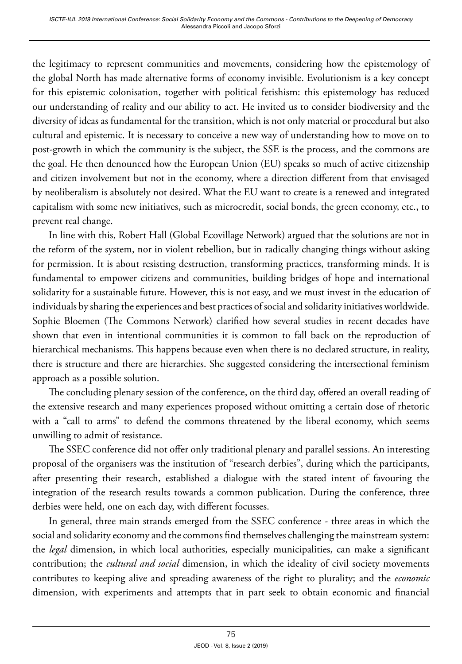the legitimacy to represent communities and movements, considering how the epistemology of the global North has made alternative forms of economy invisible. Evolutionism is a key concept for this epistemic colonisation, together with political fetishism: this epistemology has reduced our understanding of reality and our ability to act. He invited us to consider biodiversity and the diversity of ideas as fundamental for the transition, which is not only material or procedural but also cultural and epistemic. It is necessary to conceive a new way of understanding how to move on to post-growth in which the community is the subject, the SSE is the process, and the commons are the goal. He then denounced how the European Union (EU) speaks so much of active citizenship and citizen involvement but not in the economy, where a direction different from that envisaged by neoliberalism is absolutely not desired. What the EU want to create is a renewed and integrated capitalism with some new initiatives, such as microcredit, social bonds, the green economy, etc., to prevent real change.

In line with this, Robert Hall (Global Ecovillage Network) argued that the solutions are not in the reform of the system, nor in violent rebellion, but in radically changing things without asking for permission. It is about resisting destruction, transforming practices, transforming minds. It is fundamental to empower citizens and communities, building bridges of hope and international solidarity for a sustainable future. However, this is not easy, and we must invest in the education of individuals by sharing the experiences and best practices of social and solidarity initiatives worldwide. Sophie Bloemen (The Commons Network) clarified how several studies in recent decades have shown that even in intentional communities it is common to fall back on the reproduction of hierarchical mechanisms. This happens because even when there is no declared structure, in reality, there is structure and there are hierarchies. She suggested considering the intersectional feminism approach as a possible solution.

The concluding plenary session of the conference, on the third day, offered an overall reading of the extensive research and many experiences proposed without omitting a certain dose of rhetoric with a "call to arms" to defend the commons threatened by the liberal economy, which seems unwilling to admit of resistance.

The SSEC conference did not offer only traditional plenary and parallel sessions. An interesting proposal of the organisers was the institution of "research derbies", during which the participants, after presenting their research, established a dialogue with the stated intent of favouring the integration of the research results towards a common publication. During the conference, three derbies were held, one on each day, with different focusses.

In general, three main strands emerged from the SSEC conference - three areas in which the social and solidarity economy and the commons find themselves challenging the mainstream system: the *legal* dimension, in which local authorities, especially municipalities, can make a significant contribution; the *cultural and social* dimension, in which the ideality of civil society movements contributes to keeping alive and spreading awareness of the right to plurality; and the *economic* dimension, with experiments and attempts that in part seek to obtain economic and financial